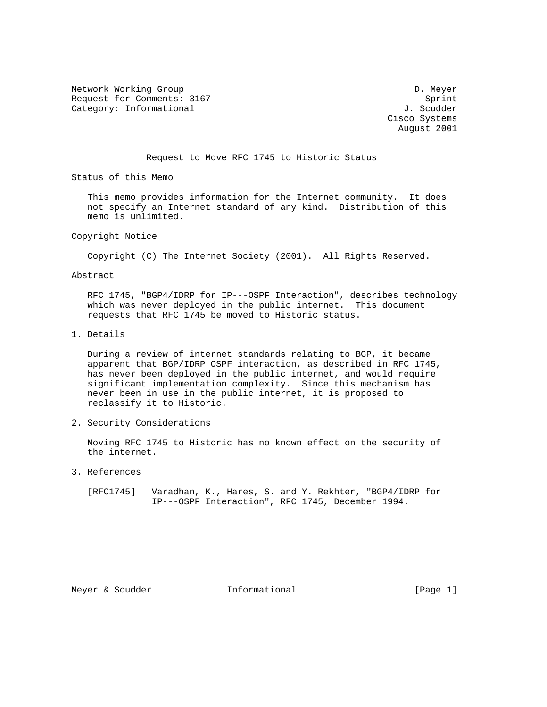Network Working Group Development of the United States of the D. Meyer Request for Comments: 3167 Sprint Category: Informational  $J.$  Scudder

 Cisco Systems August 2001

Request to Move RFC 1745 to Historic Status

Status of this Memo

 This memo provides information for the Internet community. It does not specify an Internet standard of any kind. Distribution of this memo is unlimited.

Copyright Notice

Copyright (C) The Internet Society (2001). All Rights Reserved.

Abstract

 RFC 1745, "BGP4/IDRP for IP---OSPF Interaction", describes technology which was never deployed in the public internet. This document requests that RFC 1745 be moved to Historic status.

1. Details

 During a review of internet standards relating to BGP, it became apparent that BGP/IDRP OSPF interaction, as described in RFC 1745, has never been deployed in the public internet, and would require significant implementation complexity. Since this mechanism has never been in use in the public internet, it is proposed to reclassify it to Historic.

2. Security Considerations

 Moving RFC 1745 to Historic has no known effect on the security of the internet.

3. References

 [RFC1745] Varadhan, K., Hares, S. and Y. Rekhter, "BGP4/IDRP for IP---OSPF Interaction", RFC 1745, December 1994.

Meyer & Scudder **Informational Informational** [Page 1]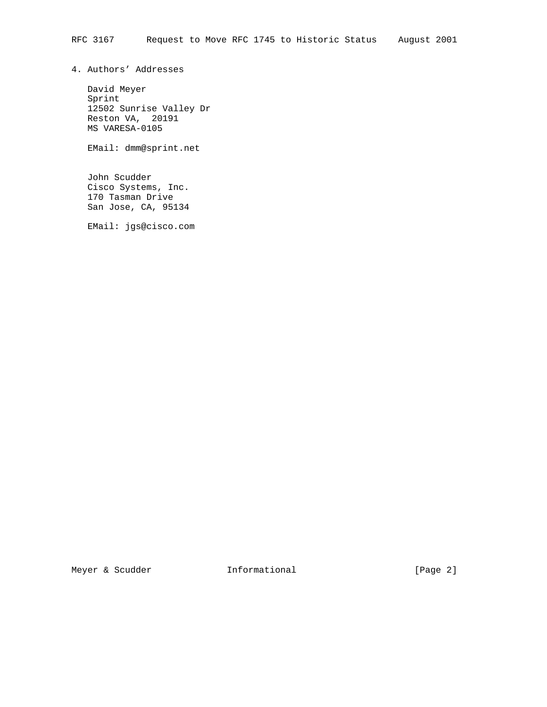4. Authors' Addresses

 David Meyer Sprint 12502 Sunrise Valley Dr Reston VA, 20191 MS VARESA-0105

EMail: dmm@sprint.net

 John Scudder Cisco Systems, Inc. 170 Tasman Drive San Jose, CA, 95134

EMail: jgs@cisco.com